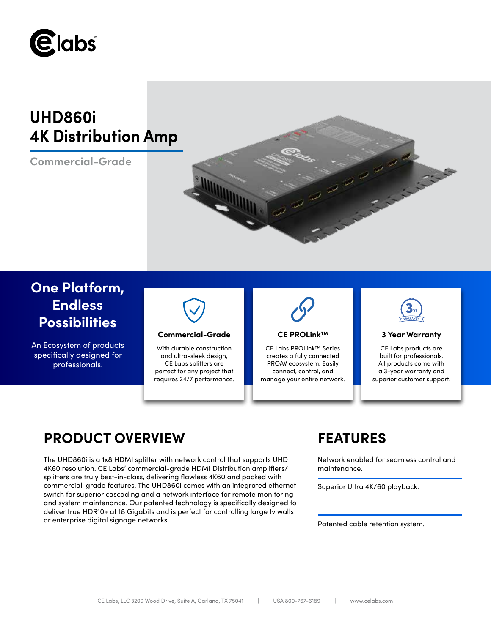

# **UHD860i 4K Distribution Amp**

**Commercial-Grade**



# **One Platform, Endless Possibilities**

An Ecosystem of products specifically designed for professionals.



## **Commercial-Grade 3 Year Warranty**

With durable construction and ultra-sleek design, CE Labs splitters are perfect for any project that requires 24/7 performance.



## **CE PROLink™**

CE Labs PROLink™ Series creates a fully connected PROAV ecosystem. Easily connect, control, and manage your entire network.



CE Labs products are built for professionals. All products come with a 3-year warranty and superior customer support.

# **PRODUCT OVERVIEW FEATURES**

The UHD860i is a 1x8 HDMI splitter with network control that supports UHD 4K60 resolution. CE Labs' commercial-grade HDMI Distribution amplifiers/ splitters are truly best-in-class, delivering flawless 4K60 and packed with commercial-grade features. The UHD860i comes with an integrated ethernet switch for superior cascading and a network interface for remote monitoring and system maintenance. Our patented technology is specifically designed to deliver true HDR10+ at 18 Gigabits and is perfect for controlling large tv walls or enterprise digital signage networks.

Network enabled for seamless control and maintenance.

Superior Ultra 4K/60 playback.

Patented cable retention system.